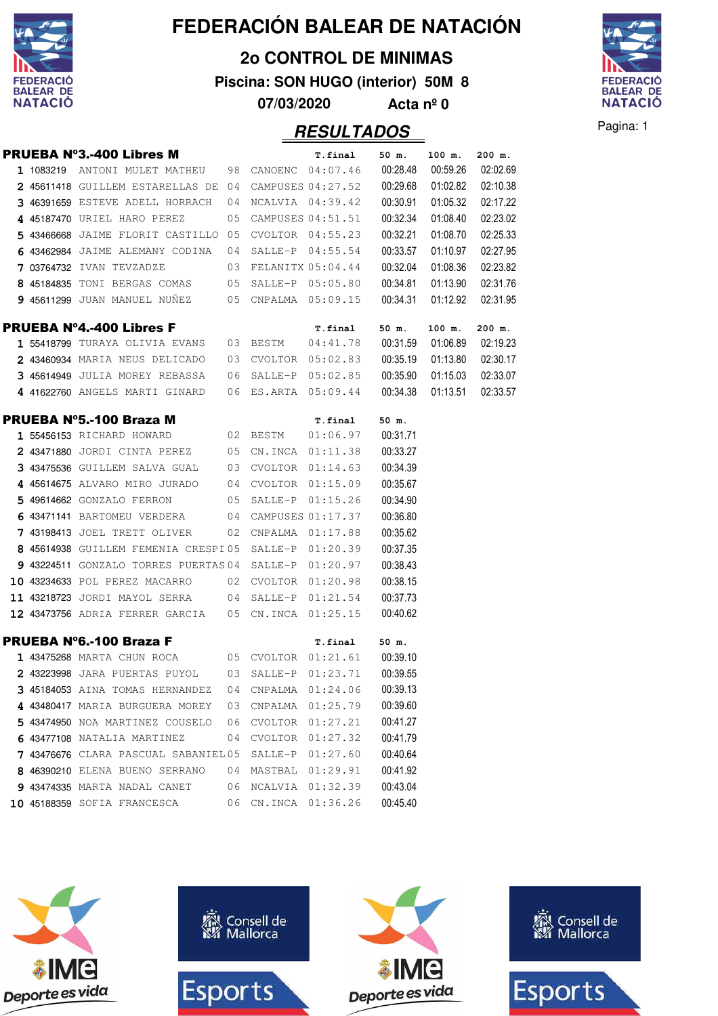

**2o CONTROL DE MINIMAS**

**Piscina: SON HUGO (interior) 50M 8**

**07/03/2020 Acta nº 0**

# **RESULTADOS** Pagina: 1

**FEDERACIÓ BALEAR DE NATACIÓ** 

|  |                                                                      |      | . . <b>. .</b>      |          |          |          |
|--|----------------------------------------------------------------------|------|---------------------|----------|----------|----------|
|  | <b>PRUEBA Nº3.-400 Libres M</b>                                      |      | T.final             | 50 m.    | 100 m.   | 200 m.   |
|  | 1 1083219 ANTONI MULET MATHEU 98 CANOENC 04:07.46 00:28.48           |      |                     |          | 00:59.26 | 02:02.69 |
|  | $2$ 45611418 GUILLEM ESTARELLAS DE 04 CAMPUSES 04:27.52              |      |                     | 00:29.68 | 01:02.82 | 02:10.38 |
|  | 3 46391659 ESTEVE ADELL HORRACH                                      |      | 04 NCALVIA 04:39.42 | 00:30.91 | 01:05.32 | 02:17.22 |
|  | 4 45187470 URIEL HARO PEREZ<br>05                                    |      | CAMPUSES 04:51.51   | 00:32.34 | 01:08.40 | 02:23.02 |
|  | $5$ 43466668 JAIME FLORIT CASTILLO 05 CVOLTOR 04:55.23               |      |                     | 00:32.21 | 01:08.70 | 02:25.33 |
|  | 6 43462984 JAIME ALEMANY CODINA $04$ SALLE-P $04:55.54$              |      |                     | 00:33.57 | 01:10.97 | 02:27.95 |
|  | 7 03764732 IVAN TEVZADZE 63 FELANITX 05:04.44                        |      |                     | 00:32.04 | 01:08.36 | 02:23.82 |
|  | 8 45184835 TONI BERGAS COMAS 05 SALLE-P 05:05.80                     |      |                     | 00:34.81 | 01:13.90 | 02:31.76 |
|  | 9 45611299 JUAN MANUEL NUÑEZ 05 CNPALMA 05:09.15                     |      |                     | 00:34.31 | 01:12.92 | 02:31.95 |
|  | <b>PRUEBA Nº4.-400 Libres F</b>                                      |      | T.final             | 50 m.    | 100 m.   | 200 m.   |
|  | 1 55418799 TURAYA OLIVIA EVANS 03 BESTM 04:41.78                     |      |                     | 00:31.59 | 01:06.89 | 02:19.23 |
|  | 2 43460934 MARIA NEUS DELICADO 03 CVOLTOR 05:02.83                   |      |                     | 00:35.19 | 01:13.80 | 02:30.17 |
|  | 3 45614949 JULIA MOREY REBASSA 06 SALLE-P 05:02.85                   |      |                     | 00:35.90 | 01:15.03 | 02:33.07 |
|  | 4 41622760 ANGELS MARTI GINARD 06 ES.ARTA 05:09.44 00:34.38 01:13.51 |      |                     |          |          | 02:33.57 |
|  | <b>PRUEBA Nº5.-100 Braza M</b>                                       |      | T.final             | 50 m.    |          |          |
|  | 1 55456153 RICHARD HOWARD                                            |      |                     |          |          |          |
|  | 2 43471880 JORDI CINTA PEREZ 05 CN.INCA 01:11.38                     |      |                     | 00:33.27 |          |          |
|  | 3 43475536 GUILLEM SALVA GUAL 03 CVOLTOR 01:14.63 00:34.39           |      |                     |          |          |          |
|  | 4 45614675 ALVARO MIRO JURADO 04 CVOLTOR 01:15.09                    |      |                     | 00:35.67 |          |          |
|  | 5 49614662 GONZALO FERRON 05 SALLE-P 01:15.26                        |      |                     | 00:34.90 |          |          |
|  | 6 43471141 BARTOMEU VERDERA 04 CAMPUSES 01:17.37                     |      |                     | 00:36.80 |          |          |
|  | $743198413$ JOEL TRETT OLIVER 02 CNPALMA 01:17.88                    |      |                     | 00:35.62 |          |          |
|  | 8 45614938 GUILLEM FEMENIA CRESPI05 SALLE-P 01:20.39                 |      |                     | 00:37.35 |          |          |
|  | 9 43224511 GONZALO TORRES PUERTAS 04 SALLE-P 01:20.97                |      |                     | 00:38.43 |          |          |
|  | 10 43234633 POL PEREZ MACARRO 02 CVOLTOR 01:20.98                    |      |                     | 00:38.15 |          |          |
|  | $11$ 43218723 JORDI MAYOL SERRA $04$ SALLE-P $01:21.54$              |      |                     | 00:37.73 |          |          |
|  | 12 43473756 ADRIA FERRER GARCIA 05 CN.INCA 01:25.15                  |      |                     | 00:40.62 |          |          |
|  | <b>PRUEBA Nº6.-100 Braza F</b>                                       |      | T.final             | 50 m.    |          |          |
|  | 1 43475268 MARTA CHUN ROCA 05 CVOLTOR 01:21.61 00:39.10              |      |                     |          |          |          |
|  | 2 43223998 JARA PUERTAS PUYOL 03 SALLE-P 01:23.71                    |      |                     | 00:39.55 |          |          |
|  | 3 45184053 AINA TOMAS HERNANDEZ                                      | 04   | CNPALMA 01:24.06    | 00:39.13 |          |          |
|  | 4 43480417 MARIA BURGUERA MOREY                                      | 03   | CNPALMA 01:25.79    | 00:39.60 |          |          |
|  | 5 43474950 NOA MARTINEZ COUSELO                                      | - 06 | CVOLTOR 01:27.21    | 00:41.27 |          |          |
|  | 6 43477108 NATALIA MARTINEZ                                          | 04   | CVOLTOR 01:27.32    | 00:41.79 |          |          |
|  | 7 43476676 CLARA PASCUAL SABANIEL05                                  |      | SALLE-P 01:27.60    | 00:40.64 |          |          |
|  | 8 46390210 ELENA BUENO SERRANO                                       | 04   | MASTBAL 01:29.91    | 00:41.92 |          |          |
|  | 9 43474335 MARTA NADAL CANET                                         | 06   | NCALVIA 01:32.39    | 00:43.04 |          |          |
|  | 10 45188359 SOFIA FRANCESCA                                          | 06   | CN.INCA 01:36.26    | 00:45.40 |          |          |

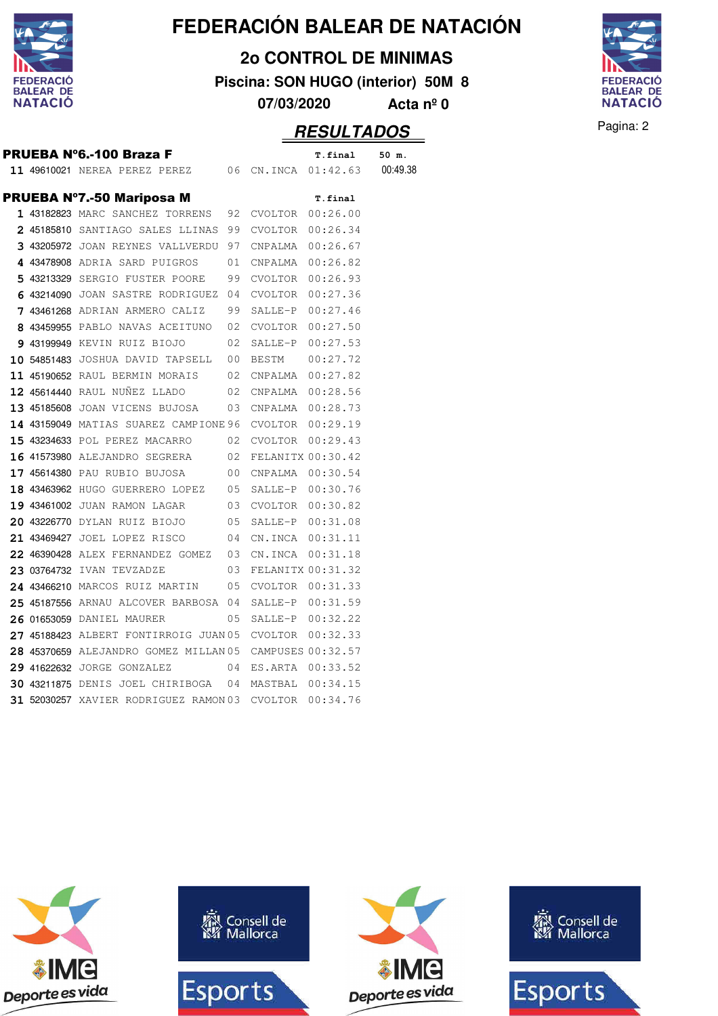

**2o CONTROL DE MINIMAS**

**Piscina: SON HUGO (interior) 50M 8**

**07/03/2020 Acta nº 0**

#### Pagina: 2 **RESULTADOS**

**PRUEBA N°6.-100 Braza F** T.final 50 m. **11 49610021 NEREA PEREZ PEREZ 06 CN.INCA 01:42.63 00:49.38** PRUEBA Nº7.-50 Mariposa M **T.final** 1 43182823 MARC SANCHEZ TORRENS 92 CVOLTOR 00:26.00 2 45185810 SANTIAGO SALES LLINAS 99 CVOLTOR 00:26.34 **3 43205972** JOAN REYNES VALLVERDU 97 CNPALMA 00:26.67 4 43478908 ADRIA SARD PUIGROS 01 CNPALMA 00:26.82 **5** 43213329 SERGIO FUSTER POORE 99 CVOLTOR 00:26.93 **6 43214090** JOAN SASTRE RODRIGUEZ 04 CVOLTOR 00:27.36 **7** 43461268 ADRIAN ARMERO CALIZ 99 SALLE-P 00:27.46 **8 43459955** PABLO NAVAS ACEITUNO 02 CVOLTOR 00:27.50 **9** 43199949 KEVIN RUIZ BIOJO 02 SALLE-P 00:27.53 **10 54851483** JOSHUA DAVID TAPSELL 00 BESTM 00:27.72 **11 45190652** RAUL BERMIN MORAIS 02 CNPALMA 00:27.82 **12 45614440** RAUL NUÑEZ LLADO 02 CNPALMA 00:28.56 **13 45185608** JOAN VICENS BUJOSA 03 CNPALMA 00:28.73 14 43159049 MATIAS SUAREZ CAMPIONE 96 CVOLTOR 00:29.19 15 43234633 POL PEREZ MACARRO 02 CVOLTOR 00:29.43 **16** 41573980 ALEJANDRO SEGRERA 02 FELANITX 00:30.42 17 45614380 PAU RUBIO BUJOSA 00 CNPALMA 00:30.54 18 43463962 HUGO GUERRERO LOPEZ 05 SALLE-P 00:30.76 **19 43461002** JUAN RAMON LAGAR 03 CVOLTOR 00:30.82 **20 43226770** DYLAN RUIZ BIOJO 05 SALLE-P 00:31.08 **21 43469427** JOEL LOPEZ RISCO 04 CN.INCA 00:31.11 **22 46390428 ALEX FERNANDEZ GOMEZ 03 CN.INCA 00:31.18 23 03764732** IVAN TEVZADZE 03 FELANITX 00:31.32 **24 43466210 MARCOS RUIZ MARTIN** 05 CVOLTOR 00:31.33 **25 45187556** ARNAU ALCOVER BARBOSA 04 SALLE-P 00:31.59 **26 01653059 DANIEL MAURER** 05 SALLE-P 00:32.22 **27 45188423 ALBERT FONTIRROIG JUAN 05 CVOLTOR 00:32.33 28 45370659** ALEJANDRO GOMEZ MILLAN 05 CAMPUSES 00:32.57 **29 41622632** JORGE GONZALEZ 04 ES.ARTA 00:33.52 **30 43211875** DENIS JOEL CHIRIBOGA 04 MASTBAL 00:34.15 **31 52030257** XAVIER RODRIGUEZ RAMON 03 CVOLTOR 00:34.76



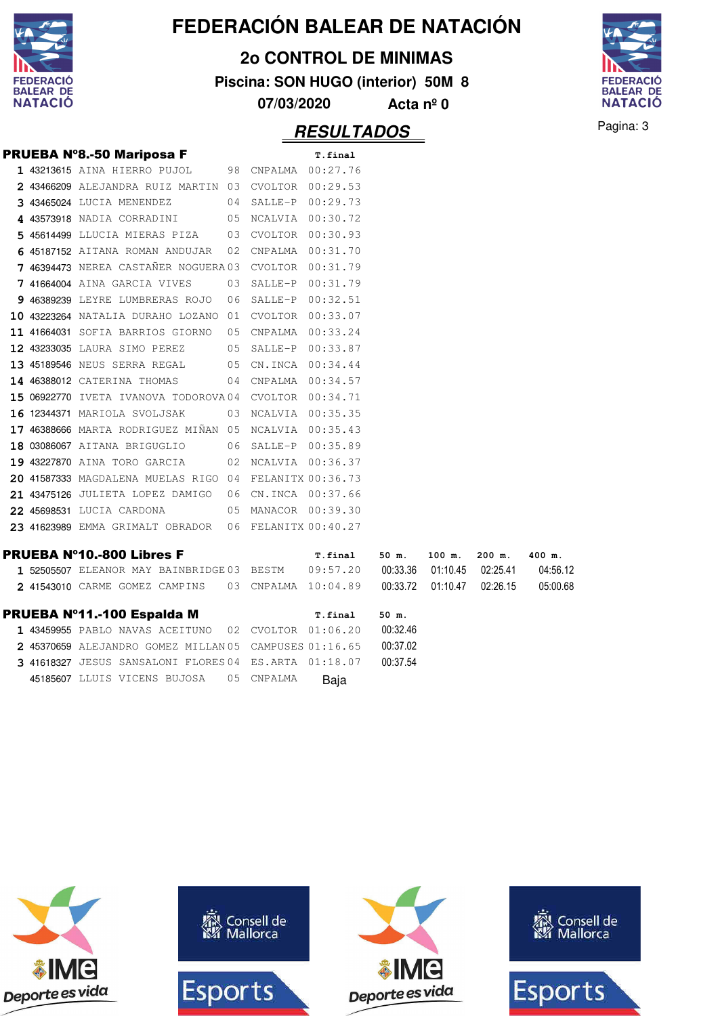

**2o CONTROL DE MINIMAS**

**Piscina: SON HUGO (interior) 50M 8**

**07/03/2020 Acta nº 0**



**RESULTADOS** Pagina: 3

|  | <b>PRUEBA Nº8.-50 Mariposa F</b>                                                   |    | T.final             |          |        |                   |          |
|--|------------------------------------------------------------------------------------|----|---------------------|----------|--------|-------------------|----------|
|  | 1 43213615 AINA HIERRO PUJOL 98 CNPALMA 00:27.76                                   |    |                     |          |        |                   |          |
|  | 2 43466209 ALEJANDRA RUIZ MARTIN 03 CVOLTOR 00:29.53                               |    |                     |          |        |                   |          |
|  | 3 43465024 LUCIA MENENDEZ 04 SALLE-P 00:29.73                                      |    |                     |          |        |                   |          |
|  | 4 43573918 NADIA CORRADINI 05 NCALVIA 00:30.72                                     |    |                     |          |        |                   |          |
|  | 5 45614499 LLUCIA MIERAS PIZA 03 CVOLTOR 00:30.93                                  |    |                     |          |        |                   |          |
|  | 6 45187152 AITANA ROMAN ANDUJAR 02 CNPALMA 00:31.70                                |    |                     |          |        |                   |          |
|  | 7 46394473 NEREA CASTAÑER NOGUERA 03 CVOLTOR 00:31.79                              |    |                     |          |        |                   |          |
|  | 7 41664004 AINA GARCIA VIVES                                                       |    | 03 SALLE-P 00:31.79 |          |        |                   |          |
|  | 9 46389239 LEYRE LUMBRERAS ROJO                                                    | 06 | SALLE-P 00:32.51    |          |        |                   |          |
|  | 10 43223264 NATALIA DURAHO LOZANO 01 CVOLTOR 00:33.07                              |    |                     |          |        |                   |          |
|  | 11 41664031 SOFIA BARRIOS GIORNO 05 CNPALMA 00:33.24                               |    |                     |          |        |                   |          |
|  | 12 43233035 LAURA SIMO PEREZ 05 SALLE-P 00:33.87                                   |    |                     |          |        |                   |          |
|  | 13 45189546 NEUS SERRA REGAL 05 CN.INCA 00:34.44                                   |    |                     |          |        |                   |          |
|  | 14 46388012 CATERINA THOMAS                                                        |    | 04 CNPALMA 00:34.57 |          |        |                   |          |
|  | 15 06922770 IVETA IVANOVA TODOROVA04 CVOLTOR 00:34.71                              |    |                     |          |        |                   |          |
|  | 16 12344371 MARIOLA SVOLJSAK                                                       |    | 03 NCALVIA 00:35.35 |          |        |                   |          |
|  | 17 46388666 MARTA RODRIGUEZ MIÑAN 05 NCALVIA 00:35.43                              |    |                     |          |        |                   |          |
|  | 18 03086067 AITANA BRIGUGLIO                                                       |    | 06 SALLE-P 00:35.89 |          |        |                   |          |
|  | 19 43227870 AINA TORO GARCIA                                                       |    | 02 NCALVIA 00:36.37 |          |        |                   |          |
|  | 20 41587333 MAGDALENA MUELAS RIGO 04 FELANITX 00:36.73                             |    |                     |          |        |                   |          |
|  | 21 43475126 JULIETA LOPEZ DAMIGO 06 CN.INCA 00:37.66                               |    |                     |          |        |                   |          |
|  | 22 45698531 LUCIA CARDONA 05 MANACOR 00:39.30                                      |    |                     |          |        |                   |          |
|  | 23 41623989 EMMA GRIMALT OBRADOR 06 FELANITX 00:40.27                              |    |                     |          |        |                   |          |
|  | <b>PRUEBA N°10.-800 Libres F</b>                                                   |    | T.final             | 50 m.    | 100 m. | $200$ m.          | 400 m.   |
|  | 1 52505507 ELEANOR MAY BAINBRIDGE 03 BESTM  09:57.20  00:33.36  01:10.45  02:25.41 |    |                     |          |        |                   | 04:56.12 |
|  | 2 41543010 CARME GOMEZ CAMPINS 03 CNPALMA 10:04.89                                 |    |                     | 00:33.72 |        | 01:10.47 02:26.15 | 05:00.68 |
|  | PRUEBA Nº11.-100 Espalda M                                                         |    | T.final             | 50 m.    |        |                   |          |
|  | 1 43459955 PABLO NAVAS ACEITUNO 02 CVOLTOR 01:06.20                                |    |                     | 00:32.46 |        |                   |          |
|  | 2 45370659 ALEJANDRO GOMEZ MILLAN 05 CAMPUSES 01:16.65                             |    |                     | 00:37.02 |        |                   |          |
|  | 3 41618327 JESUS SANSALONI FLORES 04 ES. ARTA 01:18.07                             |    |                     | 00:37.54 |        |                   |          |

45185607 LLUIS VICENS BUJOSA 05 CNPALMA Baja









Consell de

Mallorca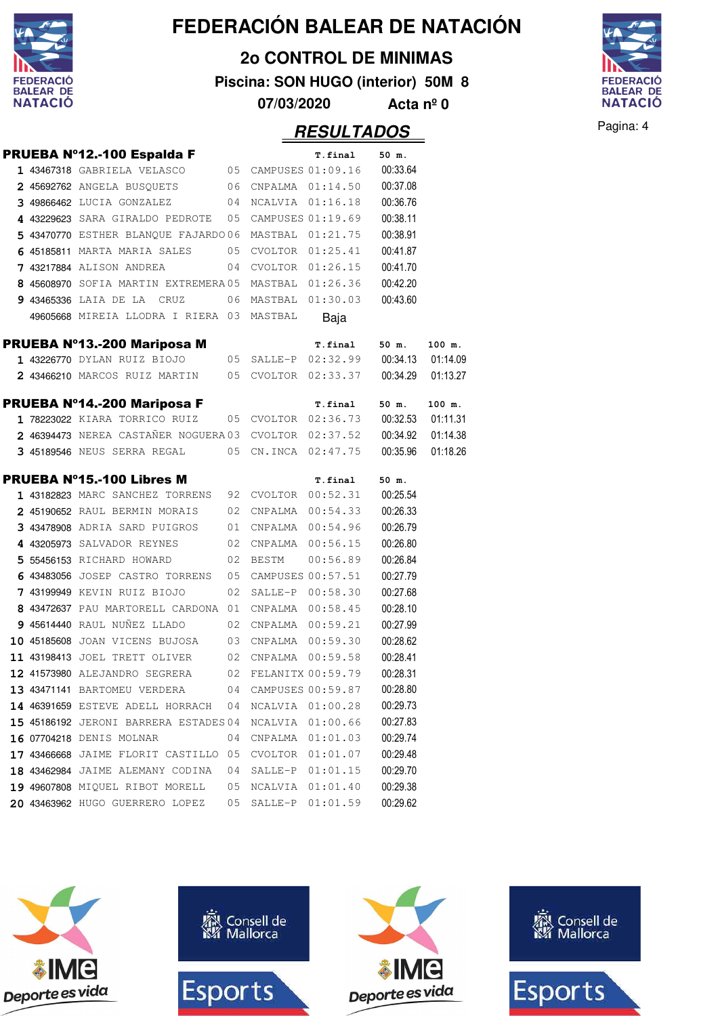

**2o CONTROL DE MINIMAS**

**Piscina: SON HUGO (interior) 50M 8**



**07/03/2020 Acta nº 0**

|  | PRUEBA Nº12.-100 Espalda F                                     |    |          | T.final                      | 50 m.    |          |
|--|----------------------------------------------------------------|----|----------|------------------------------|----------|----------|
|  | 1 43467318 GABRIELA VELASCO                                    |    |          | 05 CAMPUSES 01:09.16         | 00:33.64 |          |
|  | 2 45692762 ANGELA BUSQUETS 06 CNPALMA 01:14.50                 |    |          |                              | 00:37.08 |          |
|  | 3 49866462 LUCIA GONZALEZ 04 NCALVIA 01:16.18                  |    |          |                              | 00:36.76 |          |
|  | 4 43229623 SARA GIRALDO PEDROTE  05 CAMPUSES 01:19.69          |    |          |                              | 00:38.11 |          |
|  | 5 43470770 ESTHER BLANQUE FAJARDO 06                           |    |          | MASTBAL 01:21.75             | 00:38.91 |          |
|  | 6 45185811 MARTA MARIA SALES                                   |    |          | 05 CVOLTOR 01:25.41          | 00:41.87 |          |
|  | 7 43217884 ALISON ANDREA                                       |    |          | 04 CVOLTOR 01:26.15          | 00:41.70 |          |
|  | 8 45608970 SOFIA MARTIN EXTREMERA05 MASTBAL 01:26.36           |    |          |                              | 00:42.20 |          |
|  | 9 43465336 LAIA DE LA CRUZ                                     |    |          | 06 MASTBAL 01:30.03          | 00:43.60 |          |
|  | 49605668 MIREIA LLODRA I RIERA 03 MASTBAL                      |    |          | Baja                         |          |          |
|  | PRUEBA Nº13.-200 Mariposa M                                    |    |          | T.final                      | 50 m.    | 100 m.   |
|  | 1 43226770 DYLAN RUIZ BIOJO                                    |    |          | 05 SALLE-P 02:32.99 00:34.13 |          | 01:14.09 |
|  | 2 43466210 MARCOS RUIZ MARTIN 05 CVOLTOR 02:33.37 00:34.29     |    |          |                              |          | 01:13.27 |
|  | PRUEBA Nº14.-200 Mariposa F                                    |    |          | T.final                      | 50 m.    | 100 m.   |
|  | 1 78223022 KIARA TORRICO RUIZ 05 CVOLTOR 02:36.73 00:32.53     |    |          |                              |          | 01:11.31 |
|  | 2 46394473 NEREA CASTAÑER NOGUERA 03 CVOLTOR 02:37.52 00:34.92 |    |          |                              |          | 01:14.38 |
|  | 3 45189546 NEUS SERRA REGAL 05 CN.INCA 02:47.75                |    |          |                              | 00:35.96 | 01:18.26 |
|  | <b>PRUEBA Nº15.-100 Libres M</b>                               |    |          | <b>T.final</b>               | 50 m.    |          |
|  | 1 43182823 MARC SANCHEZ TORRENS 92 CVOLTOR 00:52.31            |    |          |                              | 00:25.54 |          |
|  | 2 45190652 RAUL BERMIN MORAIS                                  | 02 |          | CNPALMA  00:54.33            | 00:26.33 |          |
|  | 3 43478908 ADRIA SARD PUIGROS                                  |    |          | 01 CNPALMA 00:54.96          | 00:26.79 |          |
|  | 4 43205973 SALVADOR REYNES                                     |    |          | 02 CNPALMA 00:56.15          | 00:26.80 |          |
|  | 5 55456153 RICHARD HOWARD                                      |    | 02 BESTM | 00:56.89                     | 00:26.84 |          |
|  | 6 43483056 JOSEP CASTRO TORRENS 05                             |    |          | CAMPUSES 00:57.51            | 00:27.79 |          |
|  | 7 43199949 KEVIN RUIZ BIOJO                                    |    |          | 02 SALLE-P 00:58.30          | 00:27.68 |          |
|  | 8 43472637 PAU MARTORELL CARDONA 01 CNPALMA 00:58.45           |    |          |                              | 00:28.10 |          |
|  | 9 45614440 RAUL NUÑEZ LLADO                                    |    |          | 02 CNPALMA 00:59.21          | 00:27.99 |          |
|  | 10 45185608 JOAN VICENS BUJOSA                                 |    |          | 03 CNPALMA 00:59.30          | 00:28.62 |          |
|  | 11 43198413 JOEL TRETT OLIVER 02 CNPALMA 00:59.58              |    |          |                              | 00:28.41 |          |
|  | 12 41573980 ALEJANDRO SEGRERA 02 FELANITX 00:59.79             |    |          |                              | 00:28.31 |          |
|  | <b>13 43471141</b> BARTOMEU VERDERA                            | 04 |          | CAMPUSES 00:59.87            | 00:28.80 |          |
|  | 14 46391659 ESTEVE ADELL HORRACH                               | 04 | NCALVIA  | 01:00.28                     | 00:29.73 |          |
|  | 15 45186192 JERONI BARRERA ESTADES 04                          |    | NCALVIA  | 01:00.66                     | 00:27.83 |          |
|  | 16 07704218 DENIS MOLNAR                                       | 04 | CNPALMA  | 01:01.03                     | 00:29.74 |          |
|  | 17 43466668 JAIME FLORIT CASTILLO                              | 05 | CVOLTOR  | 01:01.07                     | 00:29.48 |          |
|  | 18 43462984 JAIME ALEMANY CODINA                               | 04 | SALLE-P  | 01:01.15                     | 00:29.70 |          |
|  | 19 49607808 MIQUEL RIBOT MORELL                                | 05 | NCALVIA  | 01:01.40                     | 00:29.38 |          |
|  | 20 43463962 HUGO GUERRERO LOPEZ                                | 05 | SALLE-P  | 01:01.59                     | 00:29.62 |          |

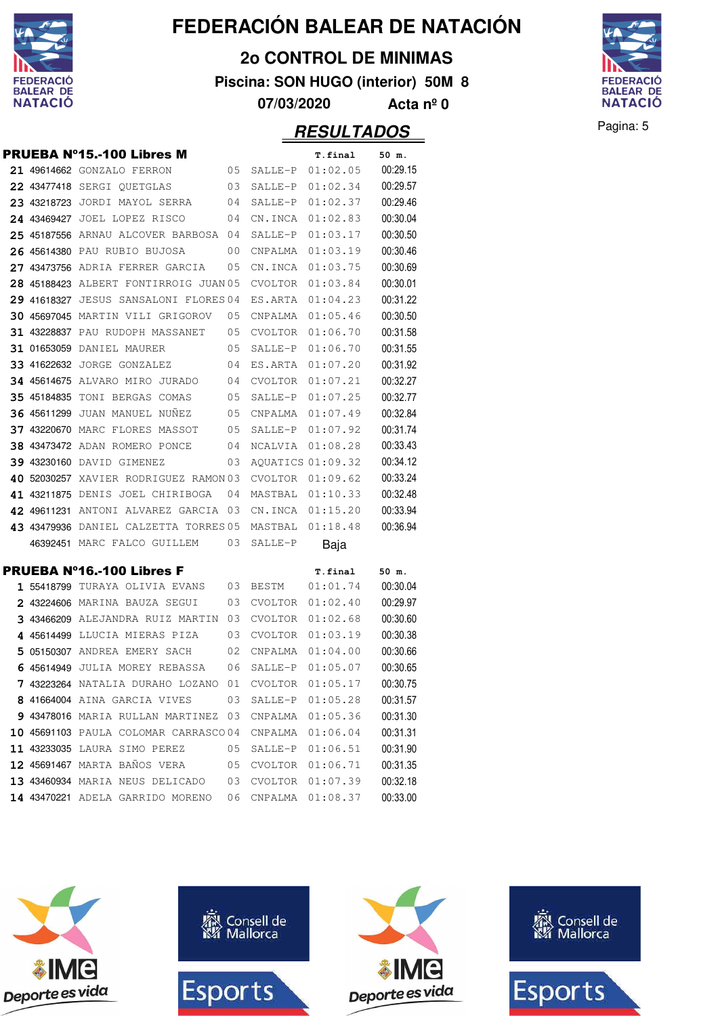

**2o CONTROL DE MINIMAS**

**Piscina: SON HUGO (interior) 50M 8**

**07/03/2020 Acta nº 0**



|  | PRUEBA N°15.-100 Libres M              |    |                | T.final             | 50 m.             |
|--|----------------------------------------|----|----------------|---------------------|-------------------|
|  | 21 49614662 GONZALO FERRON             | 05 | SALLE-P        | 01:02.05            | 00:29.15          |
|  | 22 43477418 SERGI QUETGLAS             | 03 | SALLE-P        | 01:02.34            | 00:29.57          |
|  | 23 43218723 JORDI MAYOL SERRA          | 04 | SALLE-P        | 01:02.37            | 00:29.46          |
|  | 24 43469427 JOEL LOPEZ RISCO           | 04 | CN.INCA        | 01:02.83            | 00:30.04          |
|  | 25 45187556 ARNAU ALCOVER BARBOSA      | 04 | SALLE-P        | 01:03.17            | 00:30.50          |
|  | 26 45614380 PAU RUBIO BUJOSA           | 00 | CNPALMA        | 01:03.19            | 00:30.46          |
|  | 27 43473756 ADRIA FERRER GARCIA        | 05 | CN.INCA        | 01:03.75            | 00:30.69          |
|  | 28 45188423 ALBERT FONTIRROIG JUAN 05  |    | CVOLTOR        | 01:03.84            | 00:30.01          |
|  | 29 41618327 JESUS SANSALONI FLORES 04  |    | ES.ARTA        | 01:04.23            | 00:31.22          |
|  | 30 45697045 MARTIN VILI GRIGOROV       | 05 | CNPALMA        | 01:05.46            | 00:30.50          |
|  | <b>31 43228837 PAU RUDOPH MASSANET</b> | 05 | CVOLTOR        | 01:06.70            | 00:31.58          |
|  | <b>31 01653059 DANIEL MAURER</b>       | 05 | SALLE-P        | 01:06.70            | 00:31.55          |
|  | 33 41622632 JORGE GONZALEZ             | 04 | ES.ARTA        | 01:07.20            | 00:31.92          |
|  | 34 45614675 ALVARO MIRO JURADO         | 04 | <b>CVOLTOR</b> | 01:07.21            | 00:32.27          |
|  | <b>35 45184835 TONI BERGAS COMAS</b>   | 05 | SALLE-P        | 01:07.25            | 00:32.77          |
|  | <b>36 45611299 JUAN MANUEL NUNEZ</b>   | 05 | CNPALMA        | 01:07.49            | 00:32.84          |
|  | 37 43220670 MARC FLORES MASSOT         | 05 | SALLE-P        | 01:07.92            | 00:31.74          |
|  | <b>38 43473472 ADAN ROMERO PONCE</b>   | 04 | NCALVIA        | 01:08.28            | 00:33.43          |
|  | 39 43230160 DAVID GIMENEZ              | 03 |                | AQUATICS 01:09.32   | 00:34.12          |
|  | 40 52030257 XAVIER RODRIGUEZ RAMON 03  |    | CVOLTOR        | 01:09.62            | 00:33.24          |
|  | 41 43211875 DENIS JOEL CHIRIBOGA       | 04 | MASTBAL        | 01:10.33            | 00:32.48          |
|  | 42 49611231 ANTONI ALVAREZ GARCIA      | 03 |                | CN.INCA 01:15.20    | 00:33.94          |
|  | 43 43479936 DANIEL CALZETTA TORRES 05  |    | MASTBAL        | 01:18.48            | 00:36.94          |
|  | 46392451 MARC FALCO GUILLEM            | 03 | SALLE-P        | Baja                |                   |
|  | PRUEBA Nº16.-100 Libres F              |    |                |                     |                   |
|  | 1 55418799 TURAYA OLIVIA EVANS         | 03 | <b>BESTM</b>   | T.final<br>01:01.74 | 50 m.<br>00:30.04 |
|  | 2 43224606 MARINA BAUZA SEGUI          | 03 | CVOLTOR        | 01:02.40            | 00:29.97          |
|  | 3 43466209 ALEJANDRA RUIZ MARTIN       | 03 | CVOLTOR        | 01:02.68            | 00:30.60          |
|  | 4 45614499 LLUCIA MIERAS PIZA          | 03 | <b>CVOLTOR</b> | 01:03.19            | 00:30.38          |
|  | 5 05150307 ANDREA EMERY SACH           | 02 | CNPALMA        | 01:04.00            | 00:30.66          |
|  | 6 45614949 JULIA MOREY REBASSA         | 06 | SALLE-P        | 01:05.07            | 00:30.65          |
|  | 7 43223264 NATALIA DURAHO LOZANO       | 01 | CVOLTOR        | 01:05.17            | 00:30.75          |
|  | 8 41664004 AINA GARCIA VIVES           | 03 | SALLE-P        | 01:05.28            | 00:31.57          |
|  | 9 43478016 MARIA RULLAN MARTINEZ       | 03 | CNPALMA        | 01:05.36            | 00:31.30          |
|  | 10 45691103 PAULA COLOMAR CARRASCO04   |    | CNPALMA        | 01:06.04            | 00:31.31          |
|  | 11 43233035 LAURA SIMO PEREZ           | 05 | SALLE-P        | 01:06.51            | 00:31.90          |
|  | 12 45691467 MARTA BAÑOS VERA           | 05 | <b>CVOLTOR</b> | 01:06.71            | 00:31.35          |
|  | 13 43460934 MARIA NEUS DELICADO        | 03 | <b>CVOLTOR</b> | 01:07.39            | 00:32.18          |
|  | 14 43470221 ADELA GARRIDO MORENO       | 06 | CNPALMA        | 01:08.37            | 00:33.00          |

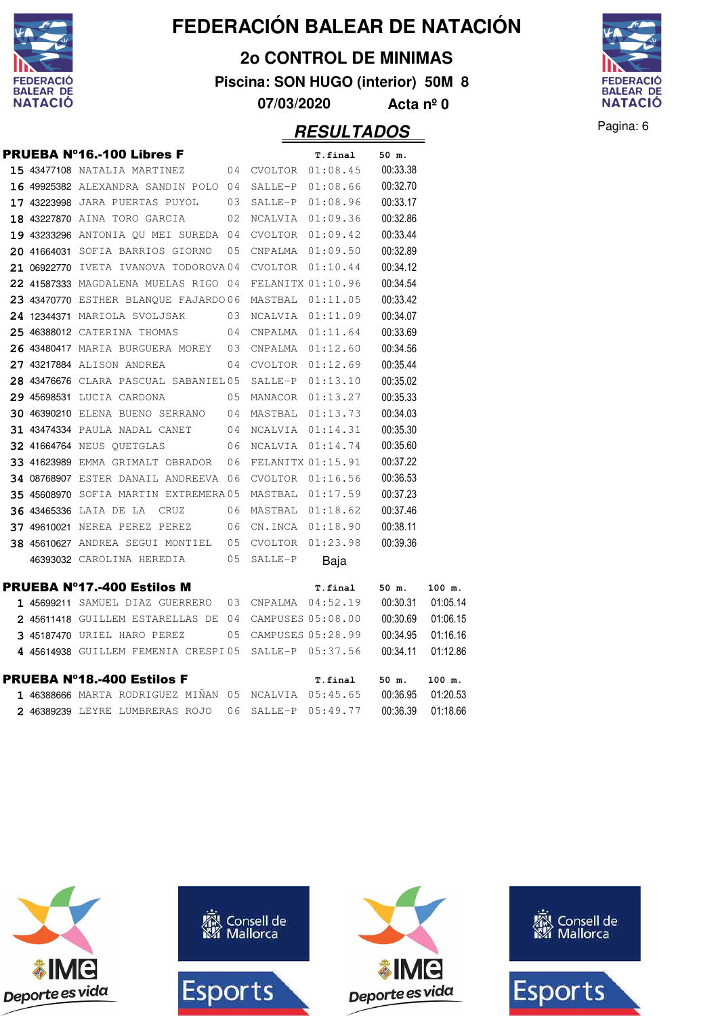

**2o CONTROL DE MINIMAS**

**Piscina: SON HUGO (interior) 50M 8**

**07/03/2020 Acta nº 0**



|  | <b>PRUEBA Nº16.-100 Libres F</b>                       |      |                  | T.final              | 50 m.    |          |
|--|--------------------------------------------------------|------|------------------|----------------------|----------|----------|
|  | <b>15 43477108 NATALIA MARTINEZ</b>                    | 04   | CVOLTOR          | 01:08.45             | 00:33.38 |          |
|  | 16 49925382 ALEXANDRA SANDIN POLO 04                   |      | SALLE-P          | 01:08.66             | 00:32.70 |          |
|  | 17 43223998 JARA PUERTAS PUYOL                         | 03   | SALLE-P          | 01:08.96             | 00:33.17 |          |
|  | 18 43227870 AINA TORO GARCIA                           | 02   | NCALVIA          | 01:09.36             | 00:32.86 |          |
|  | 19 43233296 ANTONIA QU MEI SUREDA 04                   |      | CVOLTOR          | 01:09.42             | 00:33.44 |          |
|  | 20 41664031 SOFIA BARRIOS GIORNO                       | 05   | CNPALMA          | 01:09.50             | 00:32.89 |          |
|  | 21 06922770 IVETA IVANOVA TODOROVA04                   |      | CVOLTOR          | 01:10.44             | 00:34.12 |          |
|  | 22 41587333 MAGDALENA MUELAS RIGO 04                   |      |                  | FELANITX 01:10.96    | 00:34.54 |          |
|  | 23 43470770 ESTHER BLANQUE FAJARDO 06                  |      | MASTBAL 01:11.05 |                      | 00:33.42 |          |
|  | 24 12344371 MARIOLA SVOLJSAK                           | 03   | NCALVIA 01:11.09 |                      | 00:34.07 |          |
|  | 25 46388012 CATERINA THOMAS                            | 04   | CNPALMA          | 01:11.64             | 00:33.69 |          |
|  | 26 43480417 MARIA BURGUERA MOREY 03                    |      | CNPALMA          | 01:12.60             | 00:34.56 |          |
|  | 27 43217884 ALISON ANDREA                              | 04   | CVOLTOR          | 01:12.69             | 00:35.44 |          |
|  | 28 43476676 CLARA PASCUAL SABANIEL 05                  |      | SALLE-P          | 01:13.10             | 00:35.02 |          |
|  | 29 45698531 LUCIA CARDONA                              | 05   | MANACOR          | 01:13.27             | 00:35.33 |          |
|  | 30 46390210 ELENA BUENO SERRANO                        | 04   |                  | MASTBAL 01:13.73     | 00:34.03 |          |
|  | <b>31 43474334 PAULA NADAL CANET</b>                   | 04   | NCALVIA          | 01:14.31             | 00:35.30 |          |
|  | <b>32 41664764 NEUS QUETGLAS</b>                       | 06   | NCALVIA          | 01:14.74             | 00:35.60 |          |
|  | 33 41623989 EMMA GRIMALT OBRADOR                       | 06   |                  | FELANITX 01:15.91    | 00:37.22 |          |
|  | 34 08768907 ESTER DANAIL ANDREEVA 06                   |      | CVOLTOR          | 01:16.56             | 00:36.53 |          |
|  | 35 45608970 SOFIA MARTIN EXTREMERA 05                  |      | MASTBAL          | 01:17.59             | 00:37.23 |          |
|  | <b>36 43465336 LAIA DE LA CRUZ</b>                     | 06   |                  | MASTBAL 01:18.62     | 00:37.46 |          |
|  | <b>37 49610021 NEREA PEREZ PEREZ</b>                   | - 06 | CN.INCA 01:18.90 |                      | 00:38.11 |          |
|  | 38 45610627 ANDREA SEGUI MONTIEL 05                    |      | CVOLTOR          | 01:23.98             | 00:39.36 |          |
|  | 46393032 CAROLINA HEREDIA                              | 05   | SALLE-P          | Baia                 |          |          |
|  | <b>PRUEBA Nº17.-400 Estilos M</b>                      |      |                  | T.final              | 50 m.    | 100 m.   |
|  | $145699211$ SAMUEL DIAZ GUERRERO 03 CNPALMA 04:52.19   |      |                  |                      | 00:30.31 | 01:05.14 |
|  | 2 45611418 GUILLEM ESTARELLAS DE 04                    |      |                  | CAMPUSES 05:08.00    | 00:30.69 | 01:06.15 |
|  | 3 45187470 URIEL HARO PEREZ                            |      |                  | 05 CAMPUSES 05:28.99 | 00:34.95 | 01:16.16 |
|  | 4 45614938 GUILLEM FEMENIA CRESPI05 SALLE-P 05:37.56   |      |                  |                      | 00:34.11 | 01:12.86 |
|  | <b>PRUEBA Nº18.-400 Estilos F</b>                      |      |                  | T.final              | 50 m.    | 100 m.   |
|  | $1$ 46388666 marta rodriguez miñan 05 ncalvia 05:45.65 |      |                  |                      | 00:36.95 | 01:20.53 |
|  | 2 46389239 LEYRE LUMBRERAS ROJO                        | 06   | SALLE-P          | 05:49.77             | 00:36.39 | 01:18.66 |

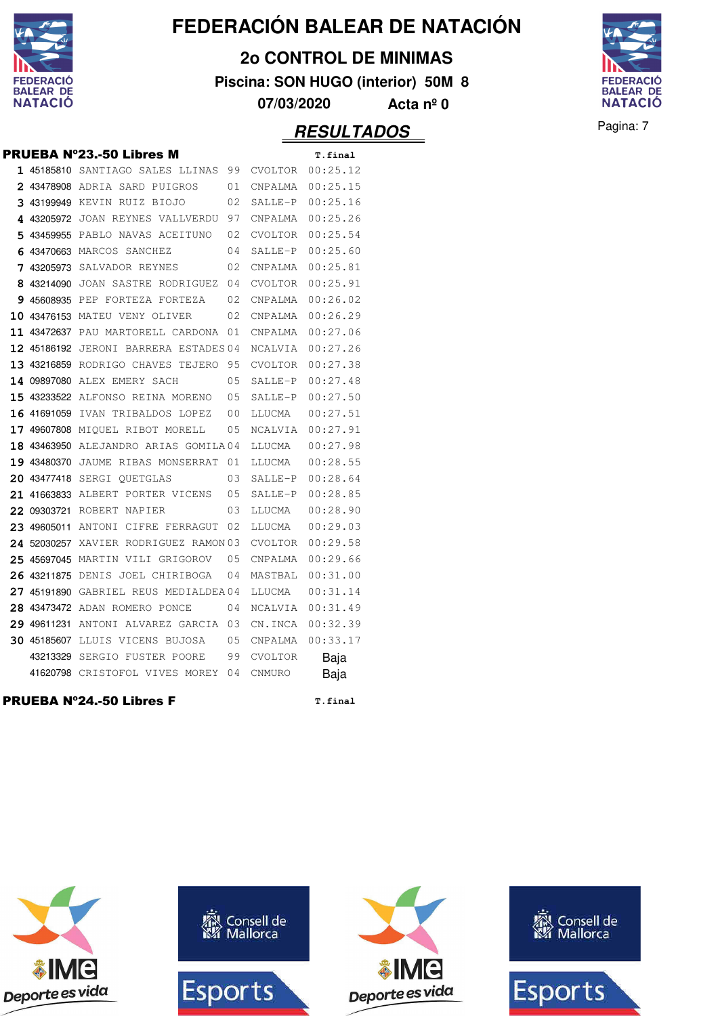

**2o CONTROL DE MINIMAS**

**Piscina: SON HUGO (interior) 50M 8**



**07/03/2020 Acta nº 0**

#### **RESULTADOS** Pagina: 7

PRUEBA Nº23.-50 Libres M **T.final**

|             | 1 45185810 SANTIAGO SALES LLINAS      | 99  | CVOLTOR        | 00:25.12         |
|-------------|---------------------------------------|-----|----------------|------------------|
|             | 2 43478908 ADRIA SARD PUIGROS         | 01  | CNPALMA        | 00:25.15         |
|             | 3 43199949 KEVIN RUIZ BIOJO           | 02  | SALLE-P        | 00:25.16         |
|             | 4 43205972 JOAN REYNES VALLVERDU      | 97  |                | CNPALMA 00:25.26 |
|             | 5 43459955 PABLO NAVAS ACEITUNO       | 02  | CVOLTOR        | 00:25.54         |
|             | 6 43470663 MARCOS SANCHEZ             | 04  | SALLE-P        | 00:25.60         |
|             | <b>7 43205973</b> SALVADOR REYNES     | 02  | CNPALMA        | 00:25.81         |
|             | 8 43214090 JOAN SASTRE RODRIGUEZ      | 04  | CVOLTOR        | 00:25.91         |
|             | 9 45608935 PEP FORTEZA FORTEZA        | 02  | CNPALMA        | 00:26.02         |
|             | 10 43476153 MATEU VENY OLIVER         | 02  | CNPALMA        | 00:26.29         |
|             | 11 43472637 PAU MARTORELL CARDONA     | 01  | CNPALMA        | 00:27.06         |
|             | 12 45186192 JERONI BARRERA ESTADES 04 |     | NCALVIA        | 00:27.26         |
|             | 13 43216859 RODRIGO CHAVES TEJERO 95  |     |                | CVOLTOR 00:27.38 |
|             | 14 09897080 ALEX EMERY SACH           | 0.5 | SALLE-P        | 00:27.48         |
|             | 15 43233522 ALFONSO REINA MORENO      | 05  | SALLE-P        | 00:27.50         |
| 16 41691059 | IVAN TRIBALDOS LOPEZ                  | 00  | LLUCMA         | 00:27.51         |
|             | 17 49607808 MIOUEL RIBOT MORELL       | 05  | NCALVIA        | 00:27.91         |
|             | 18 43463950 ALEJANDRO ARIAS GOMILA04  |     | LLUCMA         | 00:27.98         |
|             | 19 43480370 JAUME RIBAS MONSERRAT     | 01  | LLUCMA         | 00:28.55         |
|             | 20 43477418 SERGI QUETGLAS            | 03  | SALLE-P        | 00:28.64         |
|             | 21 41663833 ALBERT PORTER VICENS 05   |     | SALLE-P        | 00:28.85         |
|             | 22 09303721 ROBERT NAPIER             | 03  | LLUCMA         | 00:28.90         |
| 23 49605011 | ANTONI CIFRE FERRAGUT                 | 02  | LLUCMA         | 00:29.03         |
| 24 52030257 | XAVIER RODRIGUEZ RAMON 03             |     | CVOLTOR        | 00:29.58         |
|             | 25 45697045 MARTIN VILI GRIGOROV      | 05  | CNPALMA        | 00:29.66         |
|             | 26 43211875 DENIS JOEL CHIRIBOGA      | 04  | MASTBAL        | 00:31.00         |
|             | 27 45191890 GABRIEL REUS MEDIALDEA04  |     | LLUCMA         | 00:31.14         |
|             | 28 43473472 ADAN ROMERO PONCE         | 04  | NCALVIA        | 00:31.49         |
|             | 29 49611231 ANTONI ALVAREZ GARCIA 03  |     | CN.INCA        | 00:32.39         |
|             | 30 45185607 LLUIS VICENS BUJOSA       | 05  | CNPALMA        | 00:33.17         |
|             | 43213329 SERGIO FUSTER POORE          | 99  | <b>CVOLTOR</b> | Baja             |
|             | 41620798 CRISTOFOL VIVES MOREY        | 04  | CNMURO         | Baja             |
|             | <b>PRUEBA Nº24.-50 Libres F</b>       |     |                | T.final          |

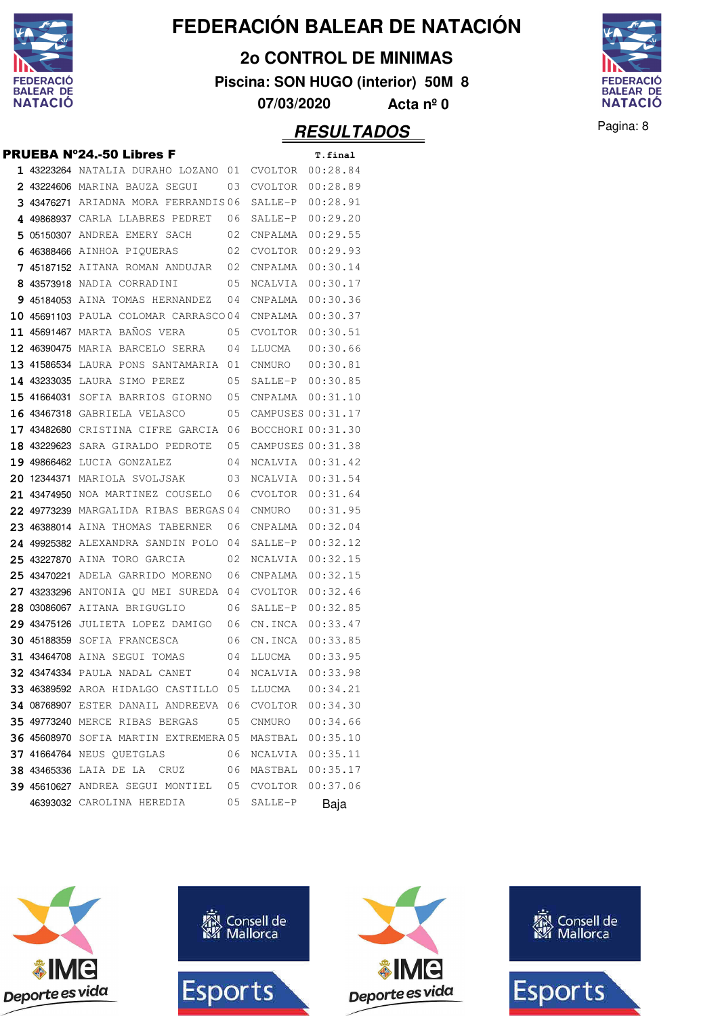

**2o CONTROL DE MINIMAS**

**Piscina: SON HUGO (interior) 50M 8**



**07/03/2020 Acta nº 0**

#### Pagina: 8 **RESULTADOS**

|  | 1 43223264 NATALIA DURAHO LOZANO 01                   |    | <b>CVOLTOR</b>    | 00:28.84 |
|--|-------------------------------------------------------|----|-------------------|----------|
|  | 2 43224606 MARINA BAUZA SEGUI                         | 03 | CVOLTOR           | 00:28.89 |
|  | 3 43476271 ARIADNA MORA FERRANDIS06                   |    | SALLE-P           | 00:28.91 |
|  | 4 49868937 CARLA LLABRES PEDRET 06                    |    | SALLE-P           | 00:29.20 |
|  | 5 05150307 ANDREA EMERY SACH                          | 02 | CNPALMA           | 00:29.55 |
|  | 6 46388466 AINHOA PIQUERAS                            | 02 | CVOLTOR           | 00:29.93 |
|  | <b>7 45187152</b> AITANA ROMAN ANDUJAR                | 02 | CNPALMA           | 00:30.14 |
|  | <b>8 43573918</b> NADIA CORRADINI                     | 05 | NCALVIA           | 00:30.17 |
|  | 9 45184053 AINA TOMAS HERNANDEZ                       | 04 | CNPALMA           | 00:30.36 |
|  | 10 45691103 PAULA COLOMAR CARRASCO04                  |    | CNPALMA           | 00:30.37 |
|  | 11 45691467 MARTA BAÑOS VERA                          | 05 | CVOLTOR           | 00:30.51 |
|  | <b>12 46390475</b> MARIA BARCELO SERRA                | 04 | LLUCMA            | 00:30.66 |
|  | 13 41586534 LAURA PONS SANTAMARIA 01                  |    | CNMURO            | 00:30.81 |
|  | 14 43233035 LAURA SIMO PEREZ                          | 05 | SALLE-P           | 00:30.85 |
|  | 15 41664031 SOFIA BARRIOS GIORNO                      | 05 | CNPALMA           | 00:31.10 |
|  | <b>16 43467318 GABRIELA VELASCO</b>                   | 05 | CAMPUSES 00:31.17 |          |
|  | 17 43482680 CRISTINA CIFRE GARCIA 06                  |    | BOCCHORI 00:31.30 |          |
|  | <b>18 43229623</b> SARA GIRALDO PEDROTE               | 05 | CAMPUSES 00:31.38 |          |
|  | 19 49866462 LUCIA GONZALEZ                            | 04 | NCALVIA 00:31.42  |          |
|  | 20 12344371 MARIOLA SVOLJSAK                          | 03 | NCALVIA 00:31.54  |          |
|  | 21 43474950 NOA MARTINEZ COUSELO                      | 06 | CVOLTOR           | 00:31.64 |
|  | 22 49773239 MARGALIDA RIBAS BERGAS 04                 |    | CNMURO            | 00:31.95 |
|  | 23 46388014 AINA THOMAS TABERNER                      | 06 | CNPALMA           | 00:32.04 |
|  | 24 49925382 ALEXANDRA SANDIN POLO 04                  |    | SALLE-P           | 00:32.12 |
|  | 25 43227870 AINA TORO GARCIA                          | 02 | NCALVIA           | 00:32.15 |
|  | 25 43470221 ADELA GARRIDO MORENO                      | 06 | CNPALMA           | 00:32.15 |
|  | 27 43233296 ANTONIA QU MEI SUREDA                     | 04 | CVOLTOR           | 00:32.46 |
|  | 28 03086067 AITANA BRIGUGLIO                          | 06 | SALLE-P           | 00:32.85 |
|  | 29 43475126 JULIETA LOPEZ DAMIGO 06                   |    | CN.INCA           | 00:33.47 |
|  | <b>30 45188359</b> SOFIA FRANCESCA                    | 06 | CN.INCA           | 00:33.85 |
|  | <b>31 43464708</b> AINA SEGUI TOMAS                   | 04 | LLUCMA            | 00:33.95 |
|  | 32 43474334 PAULA NADAL CANET                         | 04 | NCALVIA           | 00:33.98 |
|  | 33 46389592 AROA HIDALGO CASTILLO 05                  |    | LLUCMA            | 00:34.21 |
|  | 34 08768907 ESTER DANAIL ANDREEVA 06 CVOLTOR 00:34.30 |    |                   |          |
|  | <b>35 49773240</b> MERCE RIBAS BERGAS                 | 05 | CNMURO            | 00:34.66 |
|  | <b>36 45608970</b> SOFIA MARTIN EXTREMERA 05          |    | MASTBAL 00:35.10  |          |
|  | <b>37 41664764</b> NEUS QUETGLAS                      | 06 | NCALVIA 00:35.11  |          |
|  | <b>38 43465336</b> LAIA DE LA CRUZ                    | 06 | MASTBAL 00:35.17  |          |
|  | <b>39 45610627</b> ANDREA SEGUI MONTIEL 05            |    | CVOLTOR           | 00:37.06 |
|  | 46393032 CAROLINA HEREDIA                             | 05 | SALLE-P           | Baja     |







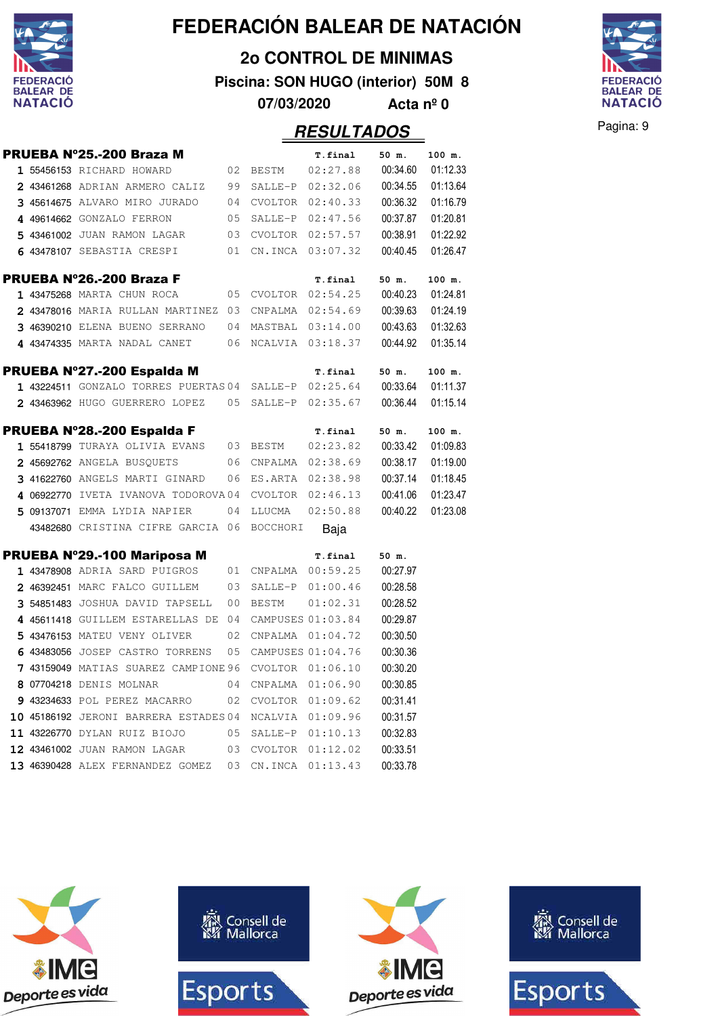

**2o CONTROL DE MINIMAS**

**07/03/2020 Acta nº 0**

**Piscina: SON HUGO (interior) 50M 8**



**PECULTADOS** Pagina: 9

|  |                                                       |    |                     | <i><b>KESULIADOS</b></i> |          |          |
|--|-------------------------------------------------------|----|---------------------|--------------------------|----------|----------|
|  | PRUEBA Nº25.-200 Braza M                              |    |                     | <b>T.final</b>           | 50 m.    | 100 m.   |
|  | 1 55456153 RICHARD HOWARD                             | 02 | BESTM               | 02:27.88                 | 00:34.60 | 01:12.33 |
|  | 2 43461268 ADRIAN ARMERO CALIZ                        | 99 |                     | SALLE-P 02:32.06         | 00:34.55 | 01:13.64 |
|  | 3 45614675 ALVARO MIRO JURADO                         | 04 |                     | $CVOLTOR$ $02:40.33$     | 00:36.32 | 01:16.79 |
|  | 4 49614662 GONZALO FERRON                             | 05 |                     | SALLE-P 02:47.56         | 00:37.87 | 01:20.81 |
|  | 5 43461002 JUAN RAMON LAGAR                           | 03 |                     | $CVOLTOR$ $02:57.57$     | 00:38.91 | 01:22.92 |
|  | 6 43478107 SEBASTIA CRESPI                            | 01 |                     | CN.INCA 03:07.32         | 00:40.45 | 01:26.47 |
|  | PRUEBA N°26.-200 Braza F                              |    |                     | T.final                  | 50 m.    | 100 m.   |
|  | 1 43475268 MARTA CHUN ROCA                            | 05 |                     | CVOLTOR 02:54.25         | 00:40.23 | 01:24.81 |
|  | 2 43478016 MARIA RULLAN MARTINEZ 03                   |    |                     | CNPALMA 02:54.69         | 00:39.63 | 01:24.19 |
|  | 3 46390210 ELENA BUENO SERRANO                        | 04 |                     | MASTBAL 03:14.00         | 00:43.63 | 01:32.63 |
|  | 4 43474335 MARTA NADAL CANET                          |    |                     | 06 NCALVIA 03:18.37      | 00:44.92 | 01:35.14 |
|  | PRUEBA N°27.-200 Espalda M                            |    |                     | T.final                  | 50 m.    | 100 m.   |
|  | 1 43224511 GONZALO TORRES PUERTAS 04 SALLE-P 02:25.64 |    |                     |                          | 00:33.64 | 01:11.37 |
|  | 2 43463962 HUGO GUERRERO LOPEZ 05 SALLE-P 02:35.67    |    |                     |                          | 00:36.44 | 01:15.14 |
|  | PRUEBA Nº28.-200 Espalda F                            |    |                     | <b>T.final</b>           | 50 m.    | 100 m.   |
|  | 1 55418799 TURAYA OLIVIA EVANS                        |    | 03 BESTM            | 02:23.82                 | 00:33.42 | 01:09.83 |
|  | 2 45692762 ANGELA BUSQUETS                            |    |                     | 06 CNPALMA 02:38.69      | 00:38.17 | 01:19.00 |
|  | 3 41622760 ANGELS MARTI GINARD                        | 06 |                     | ES.ARTA 02:38.98         | 00:37.14 | 01:18.45 |
|  | 4 06922770 IVETA IVANOVA TODOROVA04                   |    |                     | CVOLTOR 02:46.13         | 00:41.06 | 01:23.47 |
|  | 5 09137071 EMMA LYDIA NAPIER                          | 04 | LLUCMA              | 02:50.88                 | 00:40.22 | 01:23.08 |
|  | 43482680 CRISTINA CIFRE GARCIA 06 BOCCHORI            |    |                     | Baja                     |          |          |
|  | PRUEBA N°29.-100 Mariposa M                           |    |                     | T.final                  | 50 m.    |          |
|  | 1 43478908 ADRIA SARD PUIGROS                         |    | 01 CNPALMA 00:59.25 |                          | 00:27.97 |          |
|  | 2 46392451 MARC FALCO GUILLEM                         | 03 |                     | SALLE-P 01:00.46         | 00:28.58 |          |
|  | 3 54851483 JOSHUA DAVID TAPSELL                       | 00 | <b>BESTM</b>        | 01:02.31                 | 00:28.52 |          |
|  | 4 45611418 GUILLEM ESTARELLAS DE                      | 04 |                     | CAMPUSES 01:03.84        | 00:29.87 |          |
|  | 5 43476153 MATEU VENY OLIVER                          |    |                     | 02 CNPALMA 01:04.72      | 00:30.50 |          |
|  | 6 43483056 JOSEP CASTRO TORRENS                       | 05 |                     | CAMPUSES 01:04.76        | 00:30.36 |          |
|  | 7 43159049 MATIAS SUAREZ CAMPIONE 96 CVOLTOR 01:06.10 |    |                     |                          | 00:30.20 |          |
|  | 8 07704218 DENIS MOLNAR                               | 04 |                     | CNPALMA  01:06.90        | 00:30.85 |          |
|  | 9 43234633 POL PEREZ MACARRO                          | 02 |                     | CVOLTOR 01:09.62         | 00:31.41 |          |
|  | <b>10 45186192</b> JERONI BARRERA ESTADES 04          |    |                     | NCALVIA 01:09.96         | 00:31.57 |          |
|  | 11 43226770 DYLAN RUIZ BIOJO                          | 05 | SALLE-P             | 01:10.13                 | 00:32.83 |          |
|  | 12 43461002 JUAN RAMON LAGAR                          | 03 | CVOLTOR             | 01:12.02                 | 00:33.51 |          |
|  | 13 46390428 ALEX FERNANDEZ GOMEZ 03 CN.INCA 01:13.43  |    |                     |                          | 00:33.78 |          |

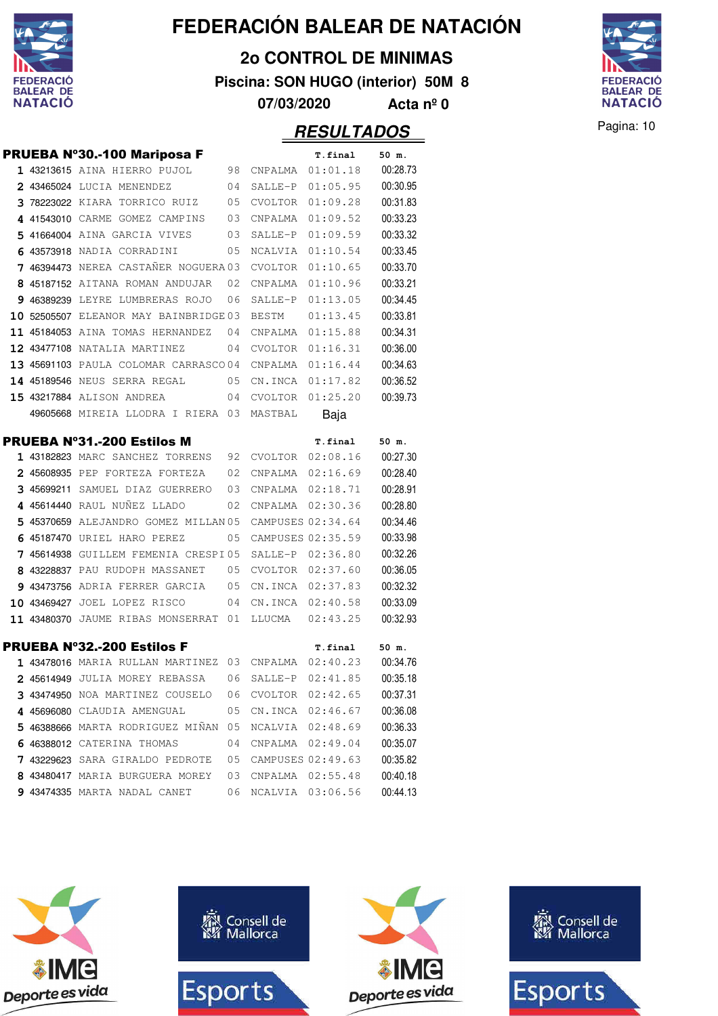

**2o CONTROL DE MINIMAS**

**Piscina: SON HUGO (interior) 50M 8**

**FEDERACIÓ** BALEAR DE<br>NATACIÓ

**07/03/2020 Acta nº 0**

|  | <b>PRUEBA Nº30.-100 Mariposa F</b>                                                          |      |                   | T.final           | 50 m.             |
|--|---------------------------------------------------------------------------------------------|------|-------------------|-------------------|-------------------|
|  | 1 43213615 AINA HIERRO PUJOL                                                                | 98   | CNPALMA           | 01:01.18          | 00:28.73          |
|  | 2 43465024 LUCIA MENENDEZ                                                                   | 04   | SALLE-P           | 01:05.95          | 00:30.95          |
|  | 3 78223022 KIARA TORRICO RUIZ                                                               | 05   | CVOLTOR           | 01:09.28          | 00:31.83          |
|  | 4 41543010 CARME GOMEZ CAMPINS                                                              | 03   | CNPALMA           | 01:09.52          | 00:33.23          |
|  | 5 41664004 AINA GARCIA VIVES                                                                | 03   | SALLE-P           | 01:09.59          | 00:33.32          |
|  | 6 43573918 NADIA CORRADINI                                                                  | 05   | NCALVIA           | 01:10.54          | 00:33.45          |
|  | 7 46394473 NEREA CASTAÑER NOGUERA 03                                                        |      | <b>CVOLTOR</b>    | 01:10.65          | 00:33.70          |
|  | 8 45187152 AITANA ROMAN ANDUJAR                                                             | 02   | CNPALMA           | 01:10.96          | 00:33.21          |
|  | 9 46389239 LEYRE LUMBRERAS ROJO                                                             | 06   | SALLE-P           | 01:13.05          | 00:34.45          |
|  | <b>10 52505507 ELEANOR MAY BAINBRIDGE03</b>                                                 |      | BESTM             | 01:13.45          | 00:33.81          |
|  | 11 45184053 AINA TOMAS HERNANDEZ                                                            | - 04 | CNPALMA           | 01:15.88          | 00:34.31          |
|  | <b>12 43477108 NATALIA MARTINEZ</b>                                                         | 04   | CVOLTOR           | 01:16.31          | 00:36.00          |
|  | 13 45691103 PAULA COLOMAR CARRASCO04                                                        |      | CNPALMA           | 01:16.44          | 00:34.63          |
|  | <b>14 45189546</b> NEUS SERRA REGAL                                                         | 05   | CN.INCA           | 01:17.82          | 00:36.52          |
|  | 15 43217884 ALISON ANDREA                                                                   | 04   | CVOLTOR           | 01:25.20          | 00:39.73          |
|  | 49605668 MIREIA LLODRA I RIERA 03                                                           |      | MASTBAL           | Baja              |                   |
|  | <b>PRUEBA Nº31.-200 Estilos M</b>                                                           |      |                   | T.final           | 50 m.             |
|  | 1 43182823 MARC SANCHEZ TORRENS                                                             | 92   | CVOLTOR           | 02:08.16          | 00:27.30          |
|  | 2 45608935 PEP FORTEZA FORTEZA                                                              | 02   | CNPALMA           | 02:16.69          | 00:28.40          |
|  | 3 45699211 SAMUEL DIAZ GUERRERO                                                             | 03   | CNPALMA 02:18.71  |                   | 00:28.91          |
|  | 4 45614440 RAUL NUÑEZ LLADO                                                                 | 02   | CNPALMA           | 02:30.36          | 00:28.80          |
|  | 5 45370659 ALEJANDRO GOMEZ MILLAN 05                                                        |      | CAMPUSES 02:34.64 |                   | 00:34.46          |
|  | 6 45187470 URIEL HARO PEREZ                                                                 | 05   | CAMPUSES 02:35.59 |                   | 00:33.98          |
|  | 7 45614938 GUILLEM FEMENIA CRESPI05                                                         |      | SALLE-P 02:36.80  |                   | 00:32.26          |
|  | 8 43228837 PAU RUDOPH MASSANET                                                              | 05   | CVOLTOR           | 02:37.60          | 00:36.05          |
|  | 9 43473756 ADRIA FERRER GARCIA                                                              | 05   | CN.INCA           | 02:37.83          | 00:32.32          |
|  | 10 43469427 JOEL LOPEZ RISCO                                                                | 04   | CN.INCA           | 02:40.58          | 00:33.09          |
|  | 11 43480370 JAUME RIBAS MONSERRAT 01                                                        |      | LLUCMA            | 02:43.25          | 00:32.93          |
|  |                                                                                             |      |                   |                   |                   |
|  | <b>PRUEBA Nº32.-200 Estilos F</b><br>$1$ 43478016 MARIA RULLAN MARTINEZ 03 CNPALMA 02:40.23 |      |                   | T.final           | 50 m.<br>00:34.76 |
|  | 2 45614949 JULIA MOREY REBASSA                                                              | 06   | SALLE-P 02:41.85  |                   | 00:35.18          |
|  | 3 43474950 NOA MARTINEZ COUSELO                                                             | 06   | CVOLTOR           | 02:42.65          | 00:37.31          |
|  | 4 45696080 CLAUDIA AMENGUAL                                                                 | 05   | CN.INCA           | 02:46.67          | 00:36.08          |
|  | 5 46388666 MARTA RODRIGUEZ MIÑAN                                                            | 05   | NCALVIA           | 02:48.69          | 00:36.33          |
|  | 6 46388012 CATERINA THOMAS                                                                  | 04   | CNPALMA           | 02:49.04          | 00:35.07          |
|  | 7 43229623 SARA GIRALDO PEDROTE                                                             | 05   |                   | CAMPUSES 02:49.63 | 00:35.82          |
|  | 8 43480417 MARIA BURGUERA MOREY                                                             | 03   | CNPALMA           | 02:55.48          | 00:40.18          |
|  | 9 43474335 MARTA NADAL CANET                                                                | 06   | NCALVIA           | 03:06.56          | 00:44.13          |
|  |                                                                                             |      |                   |                   |                   |

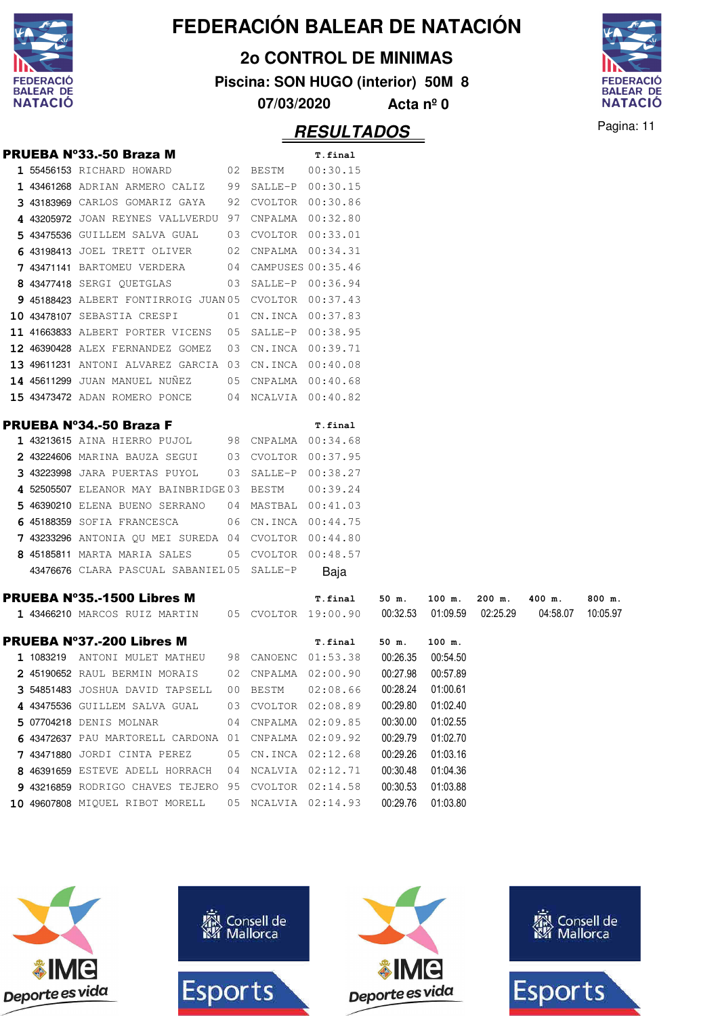

**2o CONTROL DE MINIMAS**

**Piscina: SON HUGO (interior) 50M 8**

**07/03/2020 Acta nº 0**



Pagina: 11 **RESULTADOS**

|  | <b>PRUEBA Nº33.-50 Braza M</b>                        |                 |          | T.final              |          |                   |        |                                        |          |
|--|-------------------------------------------------------|-----------------|----------|----------------------|----------|-------------------|--------|----------------------------------------|----------|
|  | 1 55456153 RICHARD HOWARD                             |                 | 02 BESTM | 00:30.15             |          |                   |        |                                        |          |
|  | 1 43461268 ADRIAN ARMERO CALIZ 99 SALLE-P 00:30.15    |                 |          |                      |          |                   |        |                                        |          |
|  | 3 43183969 CARLOS GOMARIZ GAYA 92 CVOLTOR 00:30.86    |                 |          |                      |          |                   |        |                                        |          |
|  | 4 43205972 JOAN REYNES VALLVERDU 97 CNPALMA 00:32.80  |                 |          |                      |          |                   |        |                                        |          |
|  | 5 43475536 GUILLEM SALVA GUAL 03 CVOLTOR 00:33.01     |                 |          |                      |          |                   |        |                                        |          |
|  | 6 43198413 JOEL TRETT OLIVER 02 CNPALMA 00:34.31      |                 |          |                      |          |                   |        |                                        |          |
|  | 7 43471141 BARTOMEU VERDERA                           |                 |          | 04 CAMPUSES 00:35.46 |          |                   |        |                                        |          |
|  | 8 43477418 SERGI OUETGLAS                             |                 |          | 03 SALLE-P 00:36.94  |          |                   |        |                                        |          |
|  | 9 45188423 ALBERT FONTIRROIG JUAN 05 CVOLTOR 00:37.43 |                 |          |                      |          |                   |        |                                        |          |
|  | <b>10 43478107</b> SEBASTIA CRESPI                    |                 |          | 01 CN.INCA 00:37.83  |          |                   |        |                                        |          |
|  | 11 41663833 ALBERT PORTER VICENS 05 SALLE-P 00:38.95  |                 |          |                      |          |                   |        |                                        |          |
|  | 12 46390428 ALEX FERNANDEZ GOMEZ 03 CN.INCA 00:39.71  |                 |          |                      |          |                   |        |                                        |          |
|  | 13 49611231 ANTONI ALVAREZ GARCIA 03 CN.INCA 00:40.08 |                 |          |                      |          |                   |        |                                        |          |
|  | 14 45611299 JUAN MANUEL NUÑEZ 05 CNPALMA 00:40.68     |                 |          |                      |          |                   |        |                                        |          |
|  | 15 43473472 ADAN ROMERO PONCE 04 NCALVIA 00:40.82     |                 |          |                      |          |                   |        |                                        |          |
|  |                                                       |                 |          |                      |          |                   |        |                                        |          |
|  | <b>PRUEBA Nº34.-50 Braza F</b>                        |                 |          | T.final              |          |                   |        |                                        |          |
|  | 1 43213615 AINA HIERRO PUJOL 98 CNPALMA 00:34.68      |                 |          |                      |          |                   |        |                                        |          |
|  | 2 43224606 MARINA BAUZA SEGUI 03 CVOLTOR 00:37.95     |                 |          |                      |          |                   |        |                                        |          |
|  | 3 43223998 JARA PUERTAS PUYOL                         |                 |          | 03 SALLE-P 00:38.27  |          |                   |        |                                        |          |
|  | 4 52505507 ELEANOR MAY BAINBRIDGE 03 BESTM            |                 |          | 00:39.24             |          |                   |        |                                        |          |
|  | 5 46390210 ELENA BUENO SERRANO 04 MASTBAL 00:41.03    |                 |          |                      |          |                   |        |                                        |          |
|  | 6 45188359 SOFIA FRANCESCA 06 CN.INCA 00:44.75        |                 |          |                      |          |                   |        |                                        |          |
|  | 7 43233296 ANTONIA QU MEI SUREDA 04 CVOLTOR 00:44.80  |                 |          |                      |          |                   |        |                                        |          |
|  | 8 45185811 MARTA MARIA SALES                          |                 |          | 05 CVOLTOR 00:48.57  |          |                   |        |                                        |          |
|  | 43476676 CLARA PASCUAL SABANIEL05 SALLE-P             |                 |          | Baja                 |          |                   |        |                                        |          |
|  | <b>PRUEBA Nº35.-1500 Libres M</b>                     |                 |          | T.final              | 50 m.    | 100 m.            | 200 m. | 400 m.                                 | 800 m.   |
|  | 1 43466210 MARCOS RUIZ MARTIN 05 CVOLTOR 19:00.90     |                 |          |                      |          |                   |        | 00:32.53  01:09.59  02:25.29  04:58.07 | 10:05.97 |
|  |                                                       |                 |          |                      |          |                   |        |                                        |          |
|  | <b>PRUEBA Nº37.-200 Libres M</b>                      |                 |          | T.final              | 50 m.    | 100 m.            |        |                                        |          |
|  | 1 1083219 ANTONI MULET MATHEU 98 CANOENC 01:53.38     |                 |          |                      |          | 00:26.35 00:54.50 |        |                                        |          |
|  | 2 45190652 RAUL BERMIN MORAIS                         |                 |          | 02 CNPALMA 02:00.90  | 00:27.98 | 00:57.89          |        |                                        |          |
|  | 3 54851483 JOSHUA DAVID TAPSELL                       | 00 <sub>o</sub> | BESTM    | 02:08.66             | 00:28.24 | 01:00.61          |        |                                        |          |
|  | 4 43475536 GUILLEM SALVA GUAL                         | 03              | CVOLTOR  | 02:08.89             | 00:29.80 | 01:02.40          |        |                                        |          |
|  | 5 07704218 DENIS MOLNAR                               | 04              |          | CNPALMA 02:09.85     | 00:30.00 | 01:02.55          |        |                                        |          |
|  | 6 43472637 PAU MARTORELL CARDONA 01                   |                 | CNPALMA  | 02:09.92             | 00:29.79 | 01:02.70          |        |                                        |          |
|  | 7 43471880 JORDI CINTA PEREZ                          | 05              | CN.INCA  | 02:12.68             | 00:29.26 | 01:03.16          |        |                                        |          |
|  | 8 46391659 ESTEVE ADELL HORRACH                       | 04              | NCALVIA  | 02:12.71             | 00:30.48 | 01:04.36          |        |                                        |          |
|  | 9 43216859 RODRIGO CHAVES TEJERO 95                   |                 |          | CVOLTOR 02:14.58     | 00:30.53 | 01:03.88          |        |                                        |          |
|  | 10 49607808 MIQUEL RIBOT MORELL                       |                 |          | 05 NCALVIA 02:14.93  | 00:29.76 | 01:03.80          |        |                                        |          |

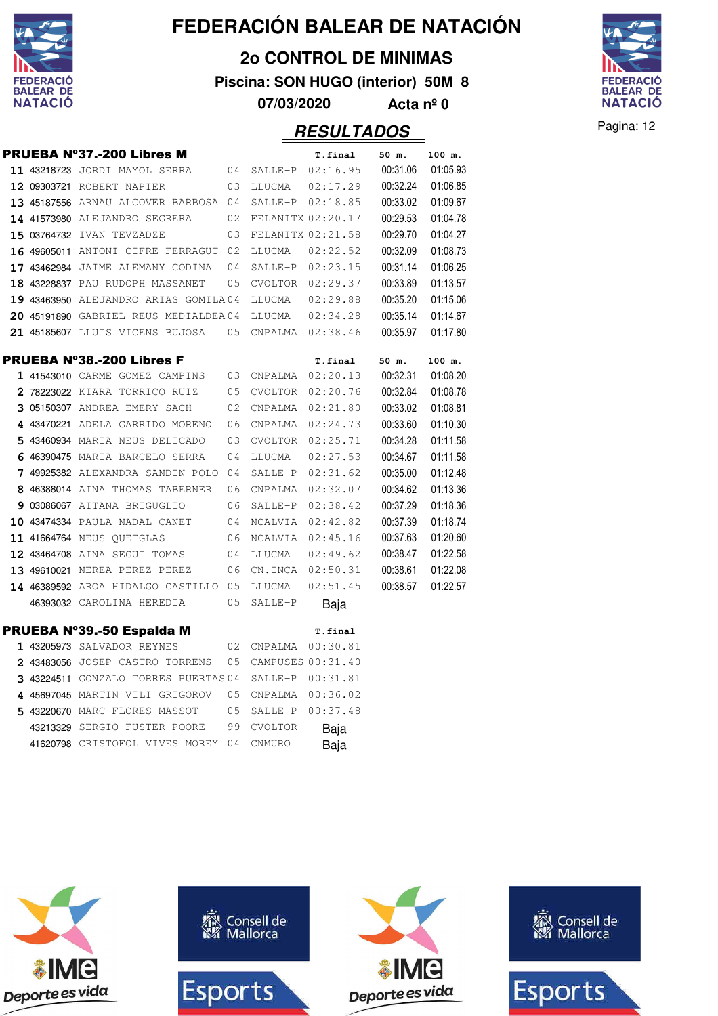

**2o CONTROL DE MINIMAS**

**Piscina: SON HUGO (interior) 50M 8**

**07/03/2020 Acta nº 0**



**Pagina: 12** 

| <b>RESULTADOS</b> |  |
|-------------------|--|
|                   |  |

|  | PRUEBA Nº37.-200 Libres M                          |    |                     | T.final  | 50 m.    | 100 m.   |
|--|----------------------------------------------------|----|---------------------|----------|----------|----------|
|  | 11 43218723 JORDI MAYOL SERRA                      |    | 04 SALLE-P 02:16.95 |          | 00:31.06 | 01:05.93 |
|  | 12 09303721 ROBERT NAPIER                          | 03 | LLUCMA              | 02:17.29 | 00:32.24 | 01:06.85 |
|  | 13 45187556 ARNAU ALCOVER BARBOSA 04               |    | SALLE-P 02:18.85    |          | 00:33.02 | 01:09.67 |
|  | 14 41573980 ALEJANDRO SEGRERA                      | 02 | FELANITX 02:20.17   |          | 00:29.53 | 01:04.78 |
|  | 15 03764732 IVAN TEVZADZE                          | 03 | FELANITX 02:21.58   |          | 00:29.70 | 01:04.27 |
|  | 16 49605011 ANTONI CIFRE FERRAGUT 02               |    | LLUCMA              | 02:22.52 | 00:32.09 | 01:08.73 |
|  | 17 43462984 JAIME ALEMANY CODINA                   | 04 | SALLE-P 02:23.15    |          | 00:31.14 | 01:06.25 |
|  | 18 43228837 PAU RUDOPH MASSANET                    | 05 | CVOLTOR 02:29.37    |          | 00:33.89 | 01:13.57 |
|  | 19 43463950 ALEJANDRO ARIAS GOMILA04               |    | LLUCMA              | 02:29.88 | 00:35.20 | 01:15.06 |
|  | 20 45191890 GABRIEL REUS MEDIALDEA04               |    | LLUCMA              | 02:34.28 | 00:35.14 | 01:14.67 |
|  | 21 45185607 LLUIS VICENS BUJOSA                    |    | 05 CNPALMA 02:38.46 |          | 00:35.97 | 01:17.80 |
|  | <b>PRUEBA Nº38.-200 Libres F</b>                   |    |                     | T.final  | 50 m.    | 100 m.   |
|  | 1 41543010 CARME GOMEZ CAMPINS 03 CNPALMA 02:20.13 |    |                     |          | 00:32.31 | 01:08.20 |
|  | 2 78223022 KIARA TORRICO RUIZ<br>0.5               |    | CVOLTOR             | 02:20.76 | 00:32.84 | 01:08.78 |
|  | 3 05150307 ANDREA EMERY SACH                       | 02 | CNPALMA             | 02:21.80 | 00:33.02 | 01:08.81 |
|  | 4 43470221 ADELA GARRIDO MORENO                    | 06 | CNPALMA             | 02:24.73 | 00:33.60 | 01:10.30 |
|  | 5 43460934 MARIA NEUS DELICADO                     | 03 | CVOLTOR             | 02:25.71 | 00:34.28 | 01:11.58 |
|  | 6 46390475 MARIA BARCELO SERRA                     | 04 | LLUCMA              | 02:27.53 | 00:34.67 | 01:11.58 |
|  | 7 49925382 ALEXANDRA SANDIN POLO 04                |    | SALLE-P             | 02:31.62 | 00:35.00 | 01:12.48 |
|  | 8 46388014 AINA THOMAS TABERNER                    | 06 | CNPALMA             | 02:32.07 | 00:34.62 | 01:13.36 |
|  | 9 03086067 AITANA BRIGUGLIO                        | 06 | SALLE-P             | 02:38.42 | 00:37.29 | 01:18.36 |
|  | 10 43474334 PAULA NADAL CANET<br>$\sim$ 04         |    | NCALVIA             | 02:42.82 | 00:37.39 | 01:18.74 |
|  | 11 41664764 NEUS QUETGLAS                          | 06 | NCALVIA             | 02:45.16 | 00:37.63 | 01:20.60 |
|  | 12 43464708 AINA SEGUI TOMAS<br>0 <sub>4</sub>     |    | LLUCMA              | 02:49.62 | 00:38.47 | 01:22.58 |
|  | 13 49610021 NEREA PEREZ PEREZ<br>06                |    | CN.INCA 02:50.31    |          | 00:38.61 | 01:22.08 |
|  | 14 46389592 AROA HIDALGO CASTILLO 05               |    | LLUCMA              | 02:51.45 | 00:38.57 | 01:22.57 |
|  | 46393032 CAROLINA HEREDIA                          | 05 | SALLE-P             | Baja     |          |          |
|  | <b>PRUEBA Nº39.-50 Espalda M</b>                   |    |                     | T.final  |          |          |
|  | 1 43205973 SALVADOR REYNES                         | 02 | CNPALMA 00:30.81    |          |          |          |
|  | 2 43483056 JOSEP CASTRO TORRENS                    | 05 | CAMPUSES 00:31.40   |          |          |          |
|  | 3 43224511 GONZALO TORRES PUERTAS 04               |    | SALLE-P 00:31.81    |          |          |          |
|  | 4 45697045 MARTIN VILI GRIGOROV                    | 05 | CNPALMA 00:36.02    |          |          |          |
|  | 5 43220670 MARC FLORES MASSOT                      | 05 | SALLE-P 00:37.48    |          |          |          |
|  | 43213329 SERGIO FUSTER POORE                       | 99 | CVOLTOR             | Baja     |          |          |
|  | 41620798 CRISTOFOL VIVES MOREY 04                  |    | <b>CNMURO</b>       | Baja     |          |          |